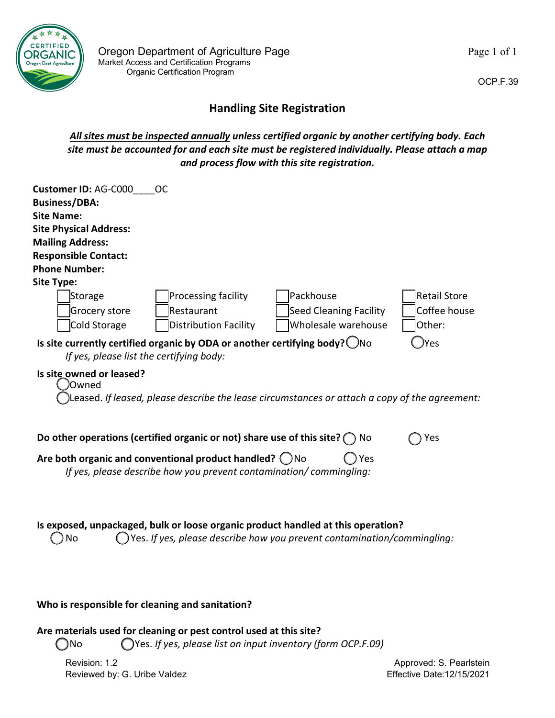

## **Handling Site Registration**

*All sites must be inspected annually unless certified organic by another certifying body. Each site must be accounted for and each site must be registered individually. Please attach a map and process flow with this site registration.*

| <b>Customer ID: AG-C000</b><br><b>Business/DBA:</b><br><b>Site Name:</b><br><b>Site Physical Address:</b><br><b>Mailing Address:</b><br><b>Responsible Contact:</b><br><b>Phone Number:</b> | <sub>OC</sub>                                                                                                                                                                                                                 |                                                                                                                                                               |                                               |
|---------------------------------------------------------------------------------------------------------------------------------------------------------------------------------------------|-------------------------------------------------------------------------------------------------------------------------------------------------------------------------------------------------------------------------------|---------------------------------------------------------------------------------------------------------------------------------------------------------------|-----------------------------------------------|
| Site Type:<br>Storage<br>Grocery store<br>Cold Storage                                                                                                                                      | Processing facility<br>Restaurant<br><b>Distribution Facility</b>                                                                                                                                                             | l Packhouse<br><b>Seed Cleaning Facility</b><br>Wholesale warehouse                                                                                           | <b>Retail Store</b><br>Coffee house<br>Other: |
| If yes, please list the certifying body:<br>Is site owned or leased?<br>)Owned                                                                                                              | Is site currently certified organic by ODA or another certifying body? $\bigcirc$ No                                                                                                                                          | Leased. If leased, please describe the lease circumstances or attach a copy of the agreement:                                                                 | )Yes                                          |
|                                                                                                                                                                                             | Do other operations (certified organic or not) share use of this site? $\bigcap$ No<br>Are both organic and conventional product handled? $\bigcirc$ No<br>If yes, please describe how you prevent contamination/commingling: | Yes                                                                                                                                                           | Yes                                           |
| <b>No</b>                                                                                                                                                                                   |                                                                                                                                                                                                                               | Is exposed, unpackaged, bulk or loose organic product handled at this operation?<br>) Yes. If yes, please describe how you prevent contamination/commingling: |                                               |

## **Who is responsible for cleaning and sanitation?**

**Are materials used for cleaning or pest control used at this site?** 

No Yes. *If yes, please list on input inventory (form OCP.F.09)*

Revision: 1.2 Reviewed by: G. Uribe Valdez OCP.F.39